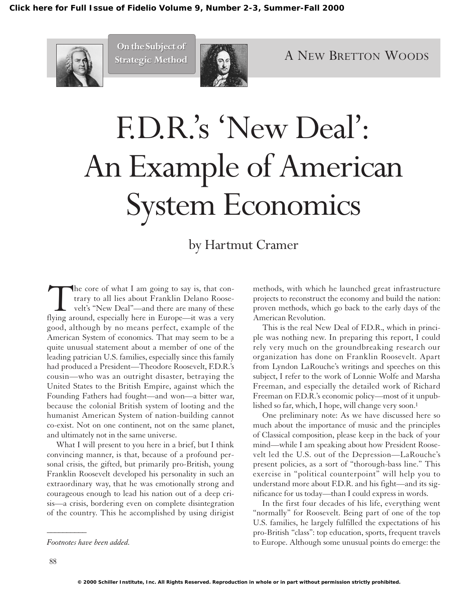

**On the Subject of On the Subject of Strategic Method Strategic Method**



# F.D.R.'s 'New Deal': An Example of American System Economics

# by Hartmut Cramer

The core of what I am going to say is, that con-<br>trary to all lies about Franklin Delano Roose-<br>velt's "New Deal"—and there are many of these<br>flying around, especially here in Europe—it was a very trary to all lies about Franklin Delano Roosevelt's "New Deal"—and there are many of these flying around, especially here in Europe—it was a very good, although by no means perfect, example of the American System of economics. That may seem to be a quite unusual statement about a member of one of the leading patrician U.S. families, especially since this family had produced a President—Theodore Roosevelt, F.D.R.'s cousin—who was an outright disaster, betraying the United States to the British Empire, against which the Founding Fathers had fought—and won—a bitter war, because the colonial British system of looting and the humanist American System of nation-building cannot co-exist. Not on one continent, not on the same planet, and ultimately not in the same universe.

What I will present to you here in a brief, but I think convincing manner, is that, because of a profound personal crisis, the gifted, but primarily pro-British, young Franklin Roosevelt developed his personality in such an extraordinary way, that he was emotionally strong and courageous enough to lead his nation out of a deep crisis—a crisis, bordering even on complete disintegration of the country. This he accomplished by using dirigist methods, with which he launched great infrastructure projects to reconstruct the economy and build the nation: proven methods, which go back to the early days of the American Revolution.

This is the real New Deal of F.D.R., which in principle was nothing new. In preparing this report, I could rely very much on the groundbreaking research our organization has done on Franklin Roosevelt. Apart from Lyndon LaRouche's writings and speeches on this subject, I refer to the work of Lonnie Wolfe and Marsha Freeman, and especially the detailed work of Richard Freeman on F.D.R.'s economic policy—most of it unpublished so far, which, I hope, will change very soon.<sup>1</sup>

One preliminary note: As we have discussed here so much about the importance of music and the principles of Classical composition, please keep in the back of your mind—while I am speaking about how President Roosevelt led the U.S. out of the Depression—LaRouche's present policies, as a sort of "thorough-bass line." This exercise in "political counterpoint" will help you to understand more about F.D.R. and his fight—and its significance for us today—than I could express in words.

In the first four decades of his life, everything went "normally" for Roosevelt. Being part of one of the top U.S. families, he largely fulfilled the expectations of his pro-British "class": top education, sports, frequent travels to Europe. Although some unusual points do emerge: the

*\_\_\_\_\_\_\_\_\_\_*

*Footnotes have been added.*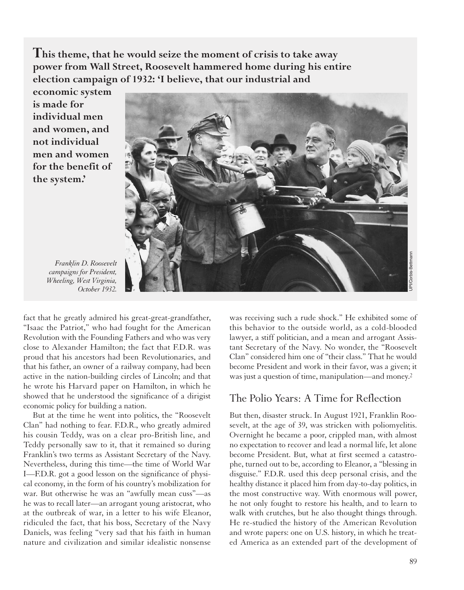**This theme, that he would seize the moment of crisis to take away power from Wall Street, Roosevelt hammered home during his entire election campaign of 1932: 'I believe, that our industrial and**

**economic system is made for individual men and women, and not individual men and women for the benefit of the system.'**



*Franklin D. Roosevelt campaigns for President, Wheeling, West Virginia, October 1932.*

fact that he greatly admired his great-great-grandfather, "Isaac the Patriot," who had fought for the American Revolution with the Founding Fathers and who was very close to Alexander Hamilton; the fact that F.D.R. was proud that his ancestors had been Revolutionaries, and that his father, an owner of a railway company, had been active in the nation-building circles of Lincoln; and that he wrote his Harvard paper on Hamilton, in which he showed that he understood the significance of a dirigist economic policy for building a nation.

But at the time he went into politics, the "Roosevelt Clan" had nothing to fear. F.D.R., who greatly admired his cousin Teddy, was on a clear pro-British line, and Teddy personally saw to it, that it remained so during Franklin's two terms as Assistant Secretary of the Navy. Nevertheless, during this time—the time of World War I—F.D.R. got a good lesson on the significance of physical economy, in the form of his country's mobilization for war. But otherwise he was an "awfully mean cuss"—as he was to recall later—an arrogant young aristocrat, who at the outbreak of war, in a letter to his wife Eleanor, ridiculed the fact, that his boss, Secretary of the Navy Daniels, was feeling "very sad that his faith in human nature and civilization and similar idealistic nonsense was receiving such a rude shock." He exhibited some of this behavior to the outside world, as a cold-blooded lawyer, a stiff politician, and a mean and arrogant Assistant Secretary of the Navy. No wonder, the "Roosevelt Clan" considered him one of "their class." That he would become President and work in their favor, was a given; it was just a question of time, manipulation—and money.2

#### The Polio Years: A Time for Reflection

But then, disaster struck. In August 1921, Franklin Roosevelt, at the age of 39, was stricken with poliomyelitis. Overnight he became a poor, crippled man, with almost no expectation to recover and lead a normal life, let alone become President. But, what at first seemed a catastrophe, turned out to be, according to Eleanor, a "blessing in disguise." F.D.R. used this deep personal crisis, and the healthy distance it placed him from day-to-day politics, in the most constructive way. With enormous will power, he not only fought to restore his health, and to learn to walk with crutches, but he also thought things through. He re-studied the history of the American Revolution and wrote papers: one on U.S. history, in which he treated America as an extended part of the development of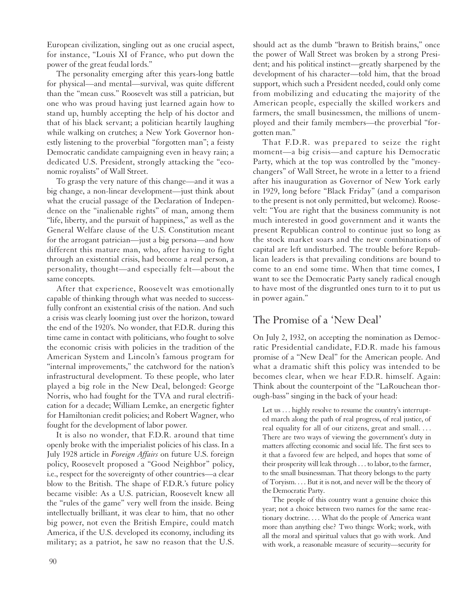European civilization, singling out as one crucial aspect, for instance, "Louis XI of France, who put down the power of the great feudal lords."

The personality emerging after this years-long battle for physical—and mental—survival, was quite different than the "mean cuss." Roosevelt was still a patrician, but one who was proud having just learned again how to stand up, humbly accepting the help of his doctor and that of his black servant; a politician heartily laughing while walking on crutches; a New York Governor honestly listening to the proverbial "forgotten man"; a feisty Democratic candidate campaigning even in heavy rain; a dedicated U.S. President, strongly attacking the "economic royalists" of Wall Street.

To grasp the very nature of this change—and it was a big change, a non-linear development—just think about what the crucial passage of the Declaration of Independence on the "inalienable rights" of man, among them "life, liberty, and the pursuit of happiness," as well as the General Welfare clause of the U.S. Constitution meant for the arrogant patrician—just a big persona—and how different this mature man, who, after having to fight through an existential crisis, had become a real person, a personality, thought—and especially felt—about the same concepts.

After that experience, Roosevelt was emotionally capable of thinking through what was needed to successfully confront an existential crisis of the nation. And such a crisis was clearly looming just over the horizon, toward the end of the 1920's. No wonder, that F.D.R. during this time came in contact with politicians, who fought to solve the economic crisis with policies in the tradition of the American System and Lincoln's famous program for "internal improvements," the catchword for the nation's infrastructural development. To these people, who later played a big role in the New Deal, belonged: George Norris, who had fought for the TVA and rural electrification for a decade; William Lemke, an energetic fighter for Hamiltonian credit policies; and Robert Wagner, who fought for the development of labor power.

It is also no wonder, that F.D.R. around that time openly broke with the imperialist policies of his class. In a July 1928 article in *Foreign Affairs* on future U.S. foreign policy, Roosevelt proposed a "Good Neighbor" policy, i.e., respect for the sovereignty of other countries—a clear blow to the British. The shape of F.D.R.'s future policy became visible: As a U.S. patrician, Roosevelt knew all the "rules of the game" very well from the inside. Being intellectually brilliant, it was clear to him, that no other big power, not even the British Empire, could match America, if the U.S. developed its economy, including its military; as a patriot, he saw no reason that the U.S. should act as the dumb "brawn to British brains," once the power of Wall Street was broken by a strong President; and his political instinct—greatly sharpened by the development of his character—told him, that the broad support, which such a President needed, could only come from mobilizing and educating the majority of the American people, especially the skilled workers and farmers, the small businessmen, the millions of unemployed and their family members—the proverbial "forgotten man."

That F.D.R. was prepared to seize the right moment—a big crisis—and capture his Democratic Party, which at the top was controlled by the "moneychangers" of Wall Street, he wrote in a letter to a friend after his inauguration as Governor of New York early in 1929, long before "Black Friday" (and a comparison to the present is not only permitted, but welcome). Roosevelt: "You are right that the business community is not much interested in good government and it wants the present Republican control to continue just so long as the stock market soars and the new combinations of capital are left undisturbed. The trouble before Republican leaders is that prevailing conditions are bound to come to an end some time. When that time comes, I want to see the Democratic Party sanely radical enough to have most of the disgruntled ones turn to it to put us in power again."

### The Promise of a 'New Deal'

On July 2, 1932, on accepting the nomination as Democratic Presidential candidate, F.D.R. made his famous promise of a "New Deal" for the American people. And what a dramatic shift this policy was intended to be becomes clear, when we hear F.D.R. himself. Again: Think about the counterpoint of the "LaRouchean thorough-bass" singing in the back of your head:

Let us . . . highly resolve to resume the country's interrupted march along the path of real progress, of real justice, of real equality for all of our citizens, great and small. ... There are two ways of viewing the government's duty in matters affecting economic and social life. The first sees to it that a favored few are helped, and hopes that some of their prosperity will leak through . . . to labor, to the farmer, to the small businessman. That theory belongs to the party of Toryism. . . . But it is not, and never will be the theory of the Democratic Party.

The people of this country want a genuine choice this year; not a choice between two names for the same reactionary doctrine. ... What do the people of America want more than anything else? Two things: Work; work, with all the moral and spiritual values that go with work. And with work, a reasonable measure of security—security for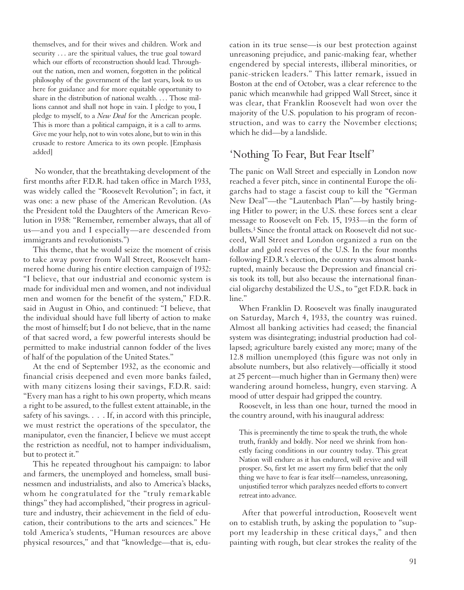themselves, and for their wives and children. Work and security ... are the spiritual values, the true goal toward which our efforts of reconstruction should lead. Throughout the nation, men and women, forgotten in the political philosophy of the government of the last years, look to us here for guidance and for more equitable opportunity to share in the distribution of national wealth. . . . Those millions cannot and shall not hope in vain. I pledge to you, I pledge to myself, to a *New Deal* for the American people. This is more than a political campaign, it is a call to arms. Give me your help, not to win votes alone, but to win in this crusade to restore America to its own people. [Emphasis added]

No wonder, that the breathtaking development of the first months after F.D.R. had taken office in March 1933, was widely called the "Roosevelt Revolution"; in fact, it was one: a new phase of the American Revolution. (As the President told the Daughters of the American Revolution in 1938: "Remember, remember always, that all of us—and you and I especially—are descended from immigrants and revolutionists.")

This theme, that he would seize the moment of crisis to take away power from Wall Street, Roosevelt hammered home during his entire election campaign of 1932: "I believe, that our industrial and economic system is made for individual men and women, and not individual men and women for the benefit of the system," F.D.R. said in August in Ohio, and continued: "I believe, that the individual should have full liberty of action to make the most of himself; but I do not believe, that in the name of that sacred word, a few powerful interests should be permitted to make industrial cannon fodder of the lives of half of the population of the United States."

At the end of September 1932, as the economic and financial crisis deepened and even more banks failed, with many citizens losing their savings, F.D.R. said: "Every man has a right to his own property, which means a right to be assured, to the fullest extent attainable, in the safety of his savings. . . . If, in accord with this principle, we must restrict the operations of the speculator, the manipulator, even the financier, I believe we must accept the restriction as needful, not to hamper individualism, but to protect it."

This he repeated throughout his campaign: to labor and farmers, the unemployed and homeless, small businessmen and industrialists, and also to America's blacks, whom he congratulated for the "truly remarkable things" they had accomplished, "their progress in agriculture and industry, their achievement in the field of education, their contributions to the arts and sciences." He told America's students, "Human resources are above physical resources," and that "knowledge—that is, education in its true sense—is our best protection against unreasoning prejudice, and panic-making fear, whether engendered by special interests, illiberal minorities, or panic-stricken leaders." This latter remark, issued in Boston at the end of October, was a clear reference to the panic which meanwhile had gripped Wall Street, since it was clear, that Franklin Roosevelt had won over the majority of the U.S. population to his program of reconstruction, and was to carry the November elections; which he did—by a landslide.

#### 'Nothing To Fear, But Fear Itself'

The panic on Wall Street and especially in London now reached a fever pitch, since in continental Europe the oligarchs had to stage a fascist coup to kill the "German New Deal"—the "Lautenbach Plan"—by hastily bringing Hitler to power; in the U.S. these forces sent a clear message to Roosevelt on Feb. 15, 1933—in the form of bullets.3 Since the frontal attack on Roosevelt did not succeed, Wall Street and London organized a run on the dollar and gold reserves of the U.S. In the four months following F.D.R.'s election, the country was almost bankrupted, mainly because the Depression and financial crisis took its toll, but also because the international financial oligarchy destabilized the U.S., to "get F.D.R. back in line."

When Franklin D. Roosevelt was finally inaugurated on Saturday, March 4, 1933, the country was ruined. Almost all banking activities had ceased; the financial system was disintegrating; industrial production had collapsed; agriculture barely existed any more; many of the 12.8 million unemployed (this figure was not only in absolute numbers, but also relatively—officially it stood at 25 percent—much higher than in Germany then) were wandering around homeless, hungry, even starving. A mood of utter despair had gripped the country.

Roosevelt, in less than one hour, turned the mood in the country around, with his inaugural address:

This is preeminently the time to speak the truth, the whole truth, frankly and boldly. Nor need we shrink from honestly facing conditions in our country today. This great Nation will endure as it has endured, will revive and will prosper. So, first let me assert my firm belief that the only thing we have to fear is fear itself—nameless, unreasoning, unjustified terror which paralyzes needed efforts to convert retreat into advance.

After that powerful introduction, Roosevelt went on to establish truth, by asking the population to "support my leadership in these critical days," and then painting with rough, but clear strokes the reality of the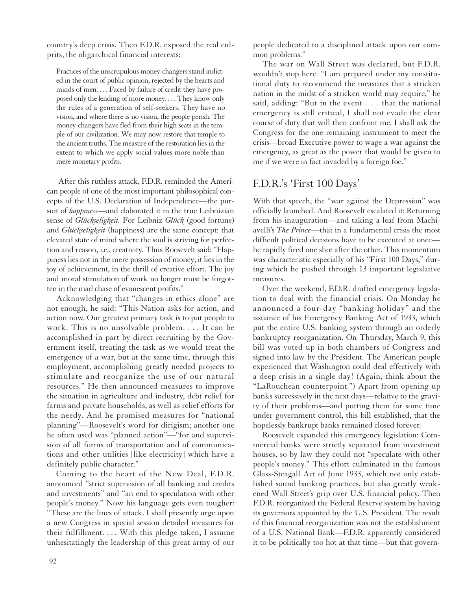country's deep crisis. Then F.D.R. exposed the real culprits, the oligarchical financial interests:

Practices of the unscrupulous money-changers stand indicted in the court of public opinion, rejected by the hearts and minds of men. . . . Faced by failure of credit they have proposed only the lending of more money. . . . They know only the rules of a generation of self-seekers. They have no vision, and where there is no vision, the people perish. The money-changers have fled from their high seats in the temple of our civilization. We may now restore that temple to the ancient truths. The measure of the restoration lies in the extent to which we apply social values more noble than mere monetary profits.

After this ruthless attack, F.D.R. reminded the American people of one of the most important philosophical concepts of the U.S. Declaration of Independence—the pursuit of *happiness*—and elaborated it in the true Leibnizian sense of *Glückseligkeit.* For Leibniz *Glück* (good fortune) and *Glückseligkeit* (happiness) are the same concept: that elevated state of mind where the soul is striving for perfection and reason, i.e., creativity. Thus Roosevelt said: "Happiness lies not in the mere possession of money; it lies in the joy of achievement, in the thrill of creative effort. The joy and moral stimulation of work no longer must be forgotten in the mad chase of evanescent profits."

Acknowledging that "changes in ethics alone" are not enough, he said: "This Nation asks for action, and action now. Our greatest primary task is to put people to work. This is no unsolvable problem. . . . It can be accomplished in part by direct recruiting by the Government itself, treating the task as we would treat the emergency of a war, but at the same time, through this employment, accomplishing greatly needed projects to stimulate and reorganize the use of our natural resources." He then announced measures to improve the situation in agriculture and industry, debt relief for farms and private households, as well as relief efforts for the needy. And he promised measures for "national planning"—Roosevelt's word for dirigism; another one he often used was "planned action"—"for and supervision of all forms of transportation and of communications and other utilities [like electricity] which have a definitely public character."

Coming to the heart of the New Deal, F.D.R. announced "strict supervision of all banking and credits and investments" and "an end to speculation with other people's money." Now his language gets even tougher: "These are the lines of attack. I shall presently urge upon a new Congress in special session detailed measures for their fulfillment. . . . With this pledge taken, I assume unhesitatingly the leadership of this great army of our people dedicated to a disciplined attack upon our common problems."

The war on Wall Street was declared, but F.D.R. wouldn't stop here. "I am prepared under my constitutional duty to recommend the measures that a stricken nation in the midst of a stricken world may require," he said, adding: "But in the event . . . that the national emergency is still critical, I shall not evade the clear course of duty that will then confront me. I shall ask the Congress for the one remaining instrument to meet the crisis—broad Executive power to wage a war against the emergency, as great as the power that would be given to me if we were in fact invaded by a foreign foe."

#### F.D.R.'s 'First 100 Days'

With that speech, the "war against the Depression" was officially launched. And Roosevelt escalated it: Returning from his inauguration—and taking a leaf from Machiavelli's *The Prince*—that in a fundamental crisis the most difficult political decisions have to be executed at once he rapidly fired one shot after the other. This momentum was characteristic especially of his "First 100 Days," during which he pushed through 13 important legislative measures.

Over the weekend, F.D.R. drafted emergency legislation to deal with the financial crisis. On Monday he announced a four-day "banking holiday" and the issuance of his Emergency Banking Act of 1933, which put the entire U.S. banking system through an orderly bankruptcy reorganization. On Thursday, March 9, this bill was voted up in both chambers of Congress and signed into law by the President. The American people experienced that Washington could deal effectively with a deep crisis in a single day! (Again, think about the "LaRouchean counterpoint.") Apart from opening up banks successively in the next days—relative to the gravity of their problems—and putting them for some time under government control, this bill established, that the hopelessly bankrupt banks remained closed forever.

Roosevelt expanded this emergency legislation: Commercial banks were strictly separated from investment houses, so by law they could not "speculate with other people's money." This effort culminated in the famous Glass-Steagall Act of June 1933, which not only established sound banking practices, but also greatly weakened Wall Street's grip over U.S. financial policy. Then F.D.R. reorganized the Federal Reserve system by having its governors appointed by the U.S. President. The result of this financial reorganization was not the establishment of a U.S. National Bank—F.D.R. apparently considered it to be politically too hot at that time—but that govern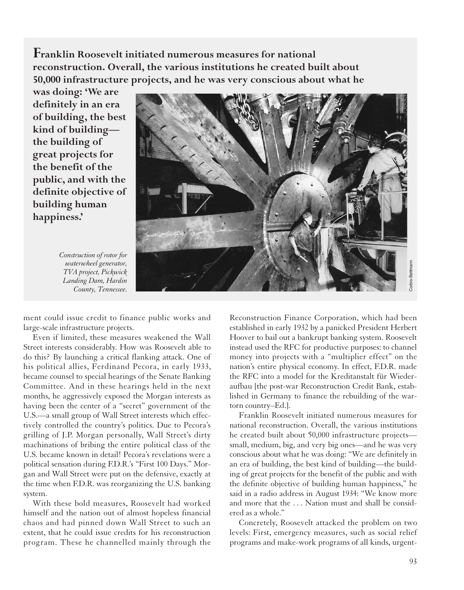**Franklin Roosevelt initiated numerous measures for national reconstruction. Overall, the various institutions he created built about 50,000 infrastructure projects, and he was very conscious about what he**

**was doing: 'We are definitely in an era of building, the best kind of building the building of great projects for the benefit of the public, and with the definite objective of building human happiness.'**

*Construction of rotor for waterwheel generator, TVA project, Pickwick Landing Dam, Hardin County, Tennessee.*



ment could issue credit to finance public works and large-scale infrastructure projects.

Even if limited, these measures weakened the Wall Street interests considerably. How was Roosevelt able to do this? By launching a critical flanking attack. One of his political allies, Ferdinand Pecora, in early 1933, became counsel to special hearings of the Senate Banking Committee. And in these hearings held in the next months, he aggressively exposed the Morgan interests as having been the center of a "secret" government of the U.S.—a small group of Wall Street interests which effectively controlled the country's politics. Due to Pecora's grilling of J.P. Morgan personally, Wall Street's dirty machinations of bribing the entire political class of the U.S. became known in detail! Pecora's revelations were a political sensation during F.D.R.'s "First 100 Days." Morgan and Wall Street were put on the defensive, exactly at the time when F.D.R. was reorganizing the U.S. banking system.

With these bold measures, Roosevelt had worked himself and the nation out of almost hopeless financial chaos and had pinned down Wall Street to such an extent, that he could issue credits for his reconstruction program. These he channelled mainly through the Reconstruction Finance Corporation, which had been established in early 1932 by a panicked President Herbert Hoover to bail out a bankrupt banking system. Roosevelt instead used the RFC for productive purposes: to channel money into projects with a "multiplier effect" on the nation's entire physical economy. In effect, F.D.R. made the RFC into a model for the Kreditanstalt für Wiederaufbau [the post-war Reconstruction Credit Bank, established in Germany to finance the rebuilding of the wartorn country–Ed.].

Franklin Roosevelt initiated numerous measures for national reconstruction. Overall, the various institutions he created built about 50,000 infrastructure projects small, medium, big, and very big ones—and he was very conscious about what he was doing: "We are definitely in an era of building, the best kind of building—the building of great projects for the benefit of the public and with the definite objective of building human happiness," he said in a radio address in August 1934: "We know more and more that the . . . Nation must and shall be considered as a whole."

Concretely, Roosevelt attacked the problem on two levels: First, emergency measures, such as social relief programs and make-work programs of all kinds, urgent-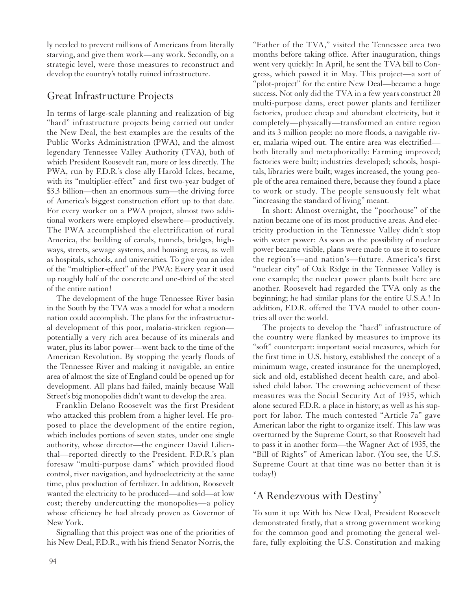ly needed to prevent millions of Americans from literally starving, and give them work—any work. Secondly, on a strategic level, were those measures to reconstruct and develop the country's totally ruined infrastructure.

## Great Infrastructure Projects

In terms of large-scale planning and realization of big "hard" infrastructure projects being carried out under the New Deal, the best examples are the results of the Public Works Administration (PWA), and the almost legendary Tennessee Valley Authority (TVA), both of which President Roosevelt ran, more or less directly. The PWA, run by F.D.R.'s close ally Harold Ickes, became, with its "multiplier-effect" and first two-year budget of \$3.3 billion—then an enormous sum—the driving force of America's biggest construction effort up to that date. For every worker on a PWA project, almost two additional workers were employed elsewhere—productively. The PWA accomplished the electrification of rural America, the building of canals, tunnels, bridges, highways, streets, sewage systems, and housing areas, as well as hospitals, schools, and universities. To give you an idea of the "multiplier-effect" of the PWA: Every year it used up roughly half of the concrete and one-third of the steel of the entire nation!

The development of the huge Tennessee River basin in the South by the TVA was a model for what a modern nation could accomplish. The plans for the infrastructural development of this poor, malaria-stricken region potentially a very rich area because of its minerals and water, plus its labor power—went back to the time of the American Revolution. By stopping the yearly floods of the Tennessee River and making it navigable, an entire area of almost the size of England could be opened up for development. All plans had failed, mainly because Wall Street's big monopolies didn't want to develop the area.

Franklin Delano Roosevelt was the first President who attacked this problem from a higher level. He proposed to place the development of the entire region, which includes portions of seven states, under one single authority, whose director—the engineer David Lilienthal—reported directly to the President. F.D.R.'s plan foresaw "multi-purpose dams" which provided flood control, river navigation, and hydroelectricity at the same time, plus production of fertilizer. In addition, Roosevelt wanted the electricity to be produced—and sold—at low cost; thereby undercutting the monopolies—a policy whose efficiency he had already proven as Governor of New York.

Signalling that this project was one of the priorities of his New Deal, F.D.R., with his friend Senator Norris, the

"Father of the TVA," visited the Tennessee area two months before taking office. After inauguration, things went very quickly: In April, he sent the TVA bill to Congress, which passed it in May. This project—a sort of "pilot-project" for the entire New Deal—became a huge success. Not only did the TVA in a few years construct 20 multi-purpose dams, erect power plants and fertilizer factories, produce cheap and abundant electricity, but it completely—physically—transformed an entire region and its 3 million people: no more floods, a navigable river, malaria wiped out. The entire area was electrified both literally and metaphorically: Farming improved; factories were built; industries developed; schools, hospitals, libraries were built; wages increased, the young people of the area remained there, because they found a place to work or study. The people sensuously felt what "increasing the standard of living" meant.

In short: Almost overnight, the "poorhouse" of the nation became one of its most productive areas. And electricity production in the Tennessee Valley didn't stop with water power: As soon as the possibility of nuclear power became visible, plans were made to use it to secure the region's—and nation's—future. America's first "nuclear city" of Oak Ridge in the Tennessee Valley is one example; the nuclear power plants built here are another. Roosevelt had regarded the TVA only as the beginning; he had similar plans for the entire U.S.A.! In addition, F.D.R. offered the TVA model to other countries all over the world.

The projects to develop the "hard" infrastructure of the country were flanked by measures to improve its "soft" counterpart: important social measures, which for the first time in U.S. history, established the concept of a minimum wage, created insurance for the unemployed, sick and old, established decent health care, and abolished child labor. The crowning achievement of these measures was the Social Security Act of 1935, which alone secured F.D.R. a place in history; as well as his support for labor. The much contested "Article 7a" gave American labor the right to organize itself. This law was overturned by the Supreme Court, so that Roosevelt had to pass it in another form—the Wagner Act of 1935, the "Bill of Rights" of American labor. (You see, the U.S. Supreme Court at that time was no better than it is today!)

# 'A Rendezvous with Destiny'

To sum it up: With his New Deal, President Roosevelt demonstrated firstly, that a strong government working for the common good and promoting the general welfare, fully exploiting the U.S. Constitution and making